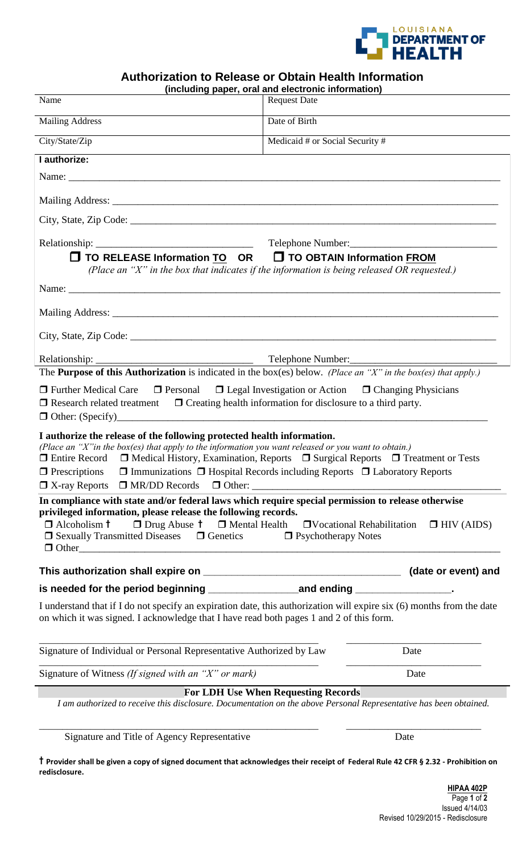

## **Authorization to Release or Obtain Health Information**

|                                                                                                                                                                                                                                                                                                                                                                                                                                                                                                                                                                                                                                                                                                                                             | (including paper, oral and electronic information) |                                                    |
|---------------------------------------------------------------------------------------------------------------------------------------------------------------------------------------------------------------------------------------------------------------------------------------------------------------------------------------------------------------------------------------------------------------------------------------------------------------------------------------------------------------------------------------------------------------------------------------------------------------------------------------------------------------------------------------------------------------------------------------------|----------------------------------------------------|----------------------------------------------------|
| Name                                                                                                                                                                                                                                                                                                                                                                                                                                                                                                                                                                                                                                                                                                                                        | <b>Request Date</b>                                |                                                    |
| <b>Mailing Address</b>                                                                                                                                                                                                                                                                                                                                                                                                                                                                                                                                                                                                                                                                                                                      | Date of Birth                                      |                                                    |
| City/State/Zip                                                                                                                                                                                                                                                                                                                                                                                                                                                                                                                                                                                                                                                                                                                              | Medicaid # or Social Security #                    |                                                    |
| I authorize:                                                                                                                                                                                                                                                                                                                                                                                                                                                                                                                                                                                                                                                                                                                                |                                                    |                                                    |
|                                                                                                                                                                                                                                                                                                                                                                                                                                                                                                                                                                                                                                                                                                                                             |                                                    |                                                    |
|                                                                                                                                                                                                                                                                                                                                                                                                                                                                                                                                                                                                                                                                                                                                             |                                                    |                                                    |
|                                                                                                                                                                                                                                                                                                                                                                                                                                                                                                                                                                                                                                                                                                                                             |                                                    |                                                    |
| □ TO RELEASE Information TO OR □ TO OBTAIN Information FROM                                                                                                                                                                                                                                                                                                                                                                                                                                                                                                                                                                                                                                                                                 |                                                    |                                                    |
| (Place an "X" in the box that indicates if the information is being released OR requested.)<br>Name:                                                                                                                                                                                                                                                                                                                                                                                                                                                                                                                                                                                                                                        |                                                    |                                                    |
|                                                                                                                                                                                                                                                                                                                                                                                                                                                                                                                                                                                                                                                                                                                                             |                                                    |                                                    |
|                                                                                                                                                                                                                                                                                                                                                                                                                                                                                                                                                                                                                                                                                                                                             |                                                    |                                                    |
| Relationship: Telephone Number:<br>The <b>Purpose of this Authorization</b> is indicated in the box(es) below. (Place an "X" in the box(es) that apply.)<br>$\Box$ Further Medical Care $\Box$ Personal $\Box$ Legal Investigation or Action $\Box$ Changing Physicians<br>$\Box$ Research related treatment $\Box$ Creating health information for disclosure to a third party.                                                                                                                                                                                                                                                                                                                                                            |                                                    |                                                    |
| I authorize the release of the following protected health information.<br>(Place an "X" in the box(es) that apply to the information you want released or you want to obtain.)<br>$\Box$ Entire Record $\Box$ Medical History, Examination, Reports $\Box$ Surgical Reports $\Box$ Treatment or Tests<br>$\Box$ Immunizations $\Box$ Hospital Records including Reports $\Box$ Laboratory Reports<br>$\Box$ Prescriptions<br>$\Box$ X-ray Reports $\Box$ MR/DD Records $\Box$ Other:<br>In compliance with state and/or federal laws which require special permission to release otherwise<br>privileged information, please release the following records.<br>$\Box$ Drug Abuse $\dagger$ $\Box$ Mental Health<br>$\Box$ Alcoholism $\dag$ |                                                    | $\Box$ Vocational Rehabilitation $\Box$ HIV (AIDS) |
| $\Box$ Sexually Transmitted Diseases $\Box$ Genetics<br>$\Box$ Other                                                                                                                                                                                                                                                                                                                                                                                                                                                                                                                                                                                                                                                                        | $\Box$ Psychotherapy Notes                         |                                                    |
|                                                                                                                                                                                                                                                                                                                                                                                                                                                                                                                                                                                                                                                                                                                                             |                                                    | (date or event) and                                |
|                                                                                                                                                                                                                                                                                                                                                                                                                                                                                                                                                                                                                                                                                                                                             |                                                    |                                                    |
| I understand that if I do not specify an expiration date, this authorization will expire six (6) months from the date<br>on which it was signed. I acknowledge that I have read both pages 1 and 2 of this form.                                                                                                                                                                                                                                                                                                                                                                                                                                                                                                                            |                                                    |                                                    |
| Signature of Individual or Personal Representative Authorized by Law                                                                                                                                                                                                                                                                                                                                                                                                                                                                                                                                                                                                                                                                        |                                                    | Date                                               |
| Signature of Witness (If signed with an "X" or mark)                                                                                                                                                                                                                                                                                                                                                                                                                                                                                                                                                                                                                                                                                        |                                                    | Date                                               |
| I am authorized to receive this disclosure. Documentation on the above Personal Representative has been obtained.                                                                                                                                                                                                                                                                                                                                                                                                                                                                                                                                                                                                                           | <b>For LDH Use When Requesting Records</b>         |                                                    |
| Signature and Title of Agency Representative                                                                                                                                                                                                                                                                                                                                                                                                                                                                                                                                                                                                                                                                                                |                                                    | Date                                               |
| T Provider shall be given a copy of signed document that acknowledges their receipt of Federal Rule 42 CFR § 2.32 - Prohibition on<br>redisclosure.                                                                                                                                                                                                                                                                                                                                                                                                                                                                                                                                                                                         |                                                    |                                                    |